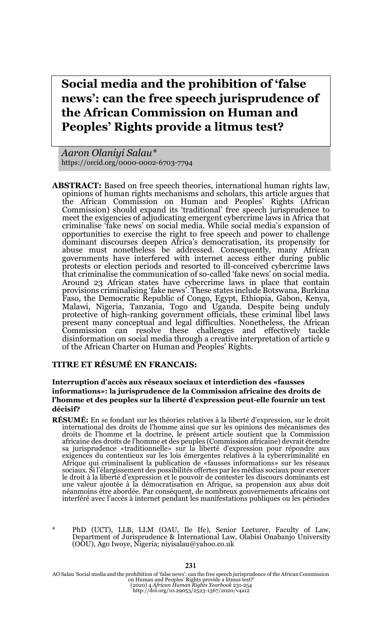**Social media and the prohibition of 'false news': can the free speech jurisprudence of the African Commission on Human and Peoples' Rights provide a litmus test?**

*Aaron Olaniyi Salau\** https://orcid.org/0000-0002-6703-7794

**ABSTRACT:** Based on free speech theories, international human rights law, opinions of human rights mechanisms and scholars, this article argues that the African Commission on Human and Peoples' Rights (African Commission) should expand its 'traditional' free speech jurisprudence to meet the exigencies of adjudicating emergent cybercrime laws in Africa that criminalise 'fake news' on social media. While social media's expansion of opportunities to exercise the right to free speech and power to challenge dominant discourses deepen Africa's democratisation, its propensity for abuse must nonetheless be addressed. Consequently, many African governments have interfered with internet access either during public protests or election periods and resorted to ill-conceived cybercrime laws that criminalise the communication of so-called 'fake news' on social media. Around 23 African states have cybercrime laws in place that contain provisions criminalising 'fake news'. These states include Botswana, Burkina Faso, the Democratic Republic of Congo, Egypt, Ethiopia, Gabon, Kenya, Malawi, Nigeria, Tanzania, Togo and Uganda. Despite being unduly protective of high-ranking government officials, these criminal libel laws present many conceptual and legal difficulties. Nonetheless, the African Commission can resolve these challenges and effectively tackle disinformation on social media through a creative interpretation of article 9 of the African Charter on Human and Peoples' Rights.

#### **TITRE ET RÉSUMÉ EN FRANCAIS:**

#### **Interruption d'accès aux réseaux sociaux et interdiction des «fausses informations»: la jurisprudence de la Commission africaine des droits de l'homme et des peuples sur la liberté d'expression peut-elle fournir un test décisif?**

- **RÉSUMÉ:** En se fondant sur les théories relatives à la liberté d'expression, sur le droit international des droits de l'homme ainsi que sur les opinions des mécanismes des droits de l'homme et la doctrine, le présent article soutient que la Commission africaine des droits de l'homme et des peuples (Commission africaine) devrait étendre sa jurisprudence «traditionnelle» sur la liberté d'expression pour répondre aux exigences du contentieux sur les lois émergentes relatives à la cybercriminalité en Afrique qui criminalisent la publication de «fausses informations» sur les réseaux sociaux. Si l'élargissement des possibilités offertes par les médias sociaux pour exercer le droit à la liberté d'expression et le pouvoir de contester les discours dominants est une valeur ajoutée à la démocratisation en Afrique, sa propension aux abus doit néanmoins être abordée. Par conséquent, de nombreux gouvernements africains ont interféré avec l'accès à internet pendant les manifestations publiques ou les périodes
- \* PhD (UCT), LLB, LLM (OAU, Ile Ife), Senior Lecturer, Faculty of Law, Department of Jurisprudence & International Law, Olabisi Onabanjo University (OOU), Ago Iwoye, Nigeria; niyisalau@yahoo.co.uk

AO Salau 'Social media and the prohibition of 'false news': can the free speech jurisprudence of the African Commission<br>on Human and Peoples' Rights provide a litmus test?<br>(2020) 4 African Aights Pearbook 231-254<br>http://do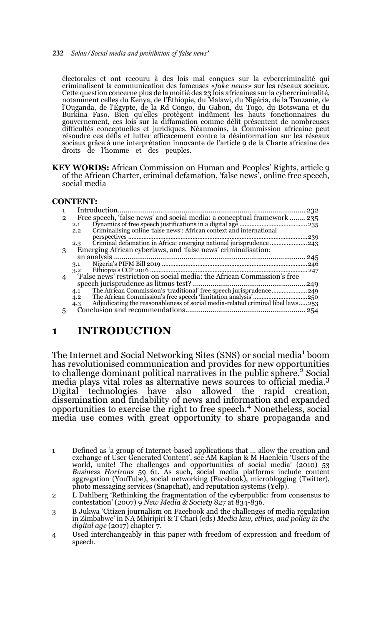électorales et ont recouru à des lois mal conçues sur la cybercriminalité qui criminalisent la communication des fameuses «*fake news*» sur les réseaux sociaux. Cette question concerne plus de la moitié des 23 lois africaines sur la cybercriminalité, notamment celles du Kenya, de l'Éthiopie, du Malawi, du Nigéria, de la Tanzanie, de l'Ouganda, de l'Égypte, de la Rd Congo, du Gabon, du Togo, du Botswana et du Burkina Faso. Bien qu'elles protègent indûment les hauts fonctionnaires du<br>gouvernement, ces lois sur la diffamation comme délit présentent de nombreuses<br>difficultés conceptuelles et juridiques. Néanmoins, la Commission af résoudre ces défis et lutter efficacement contre la désinformation sur les réseaux sociaux grâce à une interprétation innovante de l'article 9 de la Charte africaine des droits de l'homme et des peuples.

**KEY WORDS:** African Commission on Human and Peoples' Rights, article 9 of the African Charter, criminal defamation, 'false news', online free speech, social media

#### **CONTENT:**

|              |                                                                                        | 232 |
|--------------|----------------------------------------------------------------------------------------|-----|
| $\mathbf{2}$ | Free speech, 'false news' and social media: a conceptual framework                     | 235 |
|              | 2.1                                                                                    | 235 |
|              | Criminalising online 'false news': African context and international<br>2.2            |     |
|              |                                                                                        |     |
|              | 2.3                                                                                    |     |
| 3            | Emerging African cyberlaws, and 'false news' criminalisation:                          |     |
|              |                                                                                        | 245 |
|              | 3.1                                                                                    |     |
|              | 3.2                                                                                    | 247 |
| 4            | 'False news' restriction on social media: the African Commission's free                |     |
|              |                                                                                        |     |
|              | 4.1                                                                                    |     |
|              | 4.2                                                                                    |     |
|              | Adjudicating the reasonableness of social media-related criminal libel laws 253<br>4.3 |     |
| 5            |                                                                                        | 254 |
|              |                                                                                        |     |

# **1 INTRODUCTION**

The Internet and Social Networking Sites (SNS) or social media<sup>1</sup> boom has revolutionised communication and provides for new opportunities to challenge dominant political narratives in the public sphere.<sup>2</sup> Social media plays vital roles as alternative news sources to official media.<sup>3</sup> Digital technologies have also allowed the rapid creation, dissemination and findability of news and information and expanded opportunities to exercise the right to free speech.4 Nonetheless, social media use comes with great opportunity to share propaganda and

<sup>1</sup> Defined as 'a group of Internet-based applications that … allow the creation and exchange of User Generated Content', see AM Kaplan & M Haenlein 'Users of the world, unite! The challenges and opportunities of social media' (2010) 53 *Business Horizons* 59 61. As such, social media platforms include content aggregation (YouTube), social networking (Facebook), microblogging (Twitter), photo messaging services (Snapchat), and reputation systems (Yelp).

<sup>2</sup> L Dahlberg 'Rethinking the fragmentation of the cyberpublic: from consensus to contestation' (2007) 9 *New Media & Society* 827 at 834-836.

<sup>3</sup> B Jukwa 'Citizen journalism on Facebook and the challenges of media regulation in Zimbabwe' in NA Mhiripiri & T Chari (eds) *Media law, ethics, and policy in the digital age* (2017) chapter 7.

<sup>4</sup> Used interchangeably in this paper with freedom of expression and freedom of speech.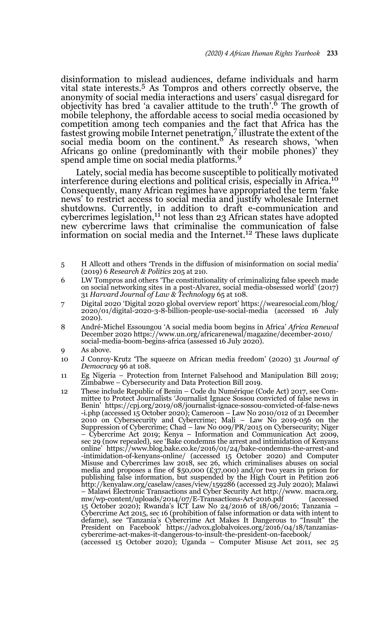disinformation to mislead audiences, defame individuals and harm vital state interests.5 As Tompros and others correctly observe, the anonymity of social media interactions and users' casual disregard for objectivity has bred 'a cavalier attitude to the truth'.6 The growth of mobile telephony, the affordable access to social media occasioned by competition among tech companies and the fact that Africa has the fastest growing mobile Internet penetration,7 illustrate the extent of the social media boom on the continent.<sup>8</sup> As research shows, 'when Africans go online (predominantly with their mobile phones)' they spend ample time on social media platforms.<sup>9</sup>

Lately, social media has become susceptible to politically motivated interference during elections and political crisis, especially in Africa.<sup>10</sup> Consequently, many African regimes have appropriated the term 'fake news' to restrict access to social media and justify wholesale Internet shutdowns. Currently, in addition to draft e-communication and<br>cybercrimes legislation,<sup>11</sup> not less than 23 African states have adopted new cybercrime laws that criminalise the communication of false information on social media and the Internet.<sup>12</sup> These laws duplicate

- 5 H Allcott and others 'Trends in the diffusion of misinformation on social media' (2019) 6 *Research & Politics* 205 at 210.
- 6 LW Tompros and others 'The constitutionality of criminalizing false speech made on social networking sites in a post-Alvarez, social media-obsessed world' (2017) 31 *Harvard Journal of Law & Technology* 65 at 108.
- 7 Digital 2020 'Digital 2020 global overview report' https://wearesocial.com/blog/ 2020/01/digital-2020-3-8-billion-people-use-social-media (accessed 16 July 2020).
- 8 André-Michel Essoungou 'A social media boom begins in Africa' *Africa Renewal* December 2020 https://www.un.org/africarenewal/magazine/december-2010/ social-media-boom-begins-africa (assessed 16 July 2020).
- As above.
- 10 J Conroy-Krutz 'The squeeze on African media freedom' (2020) 31 *Journal of Democracy* 96 at 108.
- 11 Eg Nigeria Protection from Internet Falsehood and Manipulation Bill 2019; Zimbabwe – Cybersecurity and Data Protection Bill 2019.
- 12 These include Republic of Benin Code du Numérique (Code Act) 2017, see Committee to Protect Journalists 'Journalist Ignace Sossou convicted of false news in Benin' https://cpj.org/2019/08/journalist-ignace-sossou-convicted-of-false-news -i.php (accessed 15 October 2020); Cameroon – Law No 2010/012 of 21 December 2010 on Cybersecurity and Cybercrime; Mali – Law No 2019-056 on the Suppression of Cybercrime; Chad – law No 009/PR/2015 on Cybersecurity; Niger – Cybercrime Act 2019; Kenya – Information and Communication Act 2009, sec 29 (now repealed), see 'Bake condemns the arrest and intimidation of Kenyans online' https://www.blog.bake.co.ke/2016/01/24/bake-condemns-the-arrest-and -intimidation-of-kenyans-online/ (accessed 15 October 2020) and Computer Misuse and Cybercrimes law 2018, sec 26, which criminalises abuses on social media and proposes a fine of \$50,000 (£37,000) and/or two years in prison for publishing false information, but suspended by the High Court in Petition 206 http://kenyalaw.org/caselaw/cases/view/159286 (accessed 23 July 2020); Malawi – Malawi Electronic Transactions and Cyber Security Act http://www. macra.org. mw/wp-content/uploads/2014/07/E-Transactions-Act-2016.pdf (accessed 15 October 2020); Rwanda's ICT Law No 24/2016 of 18/06/2016; Tanzania – Cybercrime Act 2015, sec 16 (prohibition of false information or data with intent to defame), see 'Tanzania's Cybercrime Act Makes It Dangerous to "Insult" the President on Facebook' https://advox.globalvoices.org/2016/04/18/tanzaniascybercrime-act-makes-it-dangerous-to-insult-the-president-on-facebook/ (accessed 15 October 2020); Uganda – Computer Misuse Act 2011, sec 25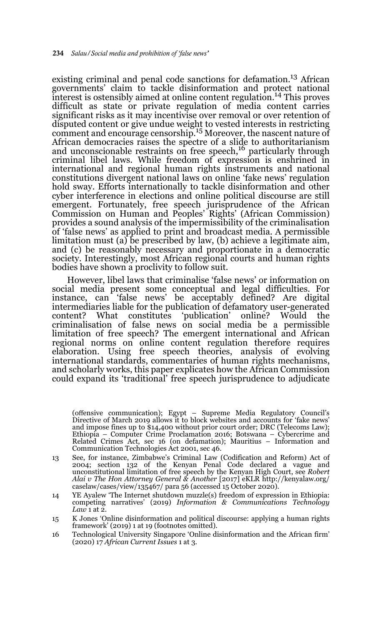existing criminal and penal code sanctions for defamation.13 African governments' claim to tackle disinformation and protect national interest is ostensibly aimed at online content regulation.14 This proves difficult as state or private regulation of media content carries significant risks as it may incentivise over removal or over retention of disputed content or give undue weight to vested interests in restricting comment and encourage censorship.<sup>15</sup> Moreover, the nascent nature of African democracies raises the spectre of a slide to authoritarianism and unconscionable restraints on free speech,<sup>16</sup> particularly through criminal libel laws. While freedom of expression is enshrined in international and regional human rights instruments and national constitutions divergent national laws on online 'fake news' regulation hold sway. Efforts internationally to tackle disinformation and other cyber interference in elections and online political discourse are still emergent. Fortunately, free speech jurisprudence of the African Commission on Human and Peoples' Rights' (African Commission) provides a sound analysis of the impermissibility of the criminalisation of 'false news' as applied to print and broadcast media. A permissible limitation must (a) be prescribed by law, (b) achieve a legitimate aim, and (c) be reasonably necessary and proportionate in a democratic society. Interestingly, most African regional courts and human rights bodies have shown a proclivity to follow suit.

However, libel laws that criminalise 'false news' or information on social media present some conceptual and legal difficulties. For instance, can 'false news' be acceptably defined? Are digital intermediaries liable for the publication of defamatory user-generated content? What constitutes 'publication' online? Would the criminalisation of false news on social media be a permissible limitation of free speech? The emergent international and African regional norms on online content regulation therefore requires elaboration. Using free speech theories, analysis of evolving international standards, commentaries of human rights mechanisms, and scholarly works, this paper explicates how the African Commission could expand its 'traditional' free speech jurisprudence to adjudicate

13 (offensive communication); Egypt – Supreme Media Regulatory Council's Directive of March 2019 allows it to block websites and accounts for 'fake news' and impose fines up to \$14,400 without prior court order; DRC (Telecoms Law); Ethiopia – Computer Crime Proclamation 2016; Botswana – Cybercrime and Related Crimes Act, sec 16 (on defamation); Mauritius – Information and Communication Technologies Act 2001, sec 46.

- 13 See, for instance, Zimbabwe's Criminal Law (Codification and Reform) Act of 2004; section 132 of the Kenyan Penal Code declared a vague and unconstitutional limitation of free speech by the Kenyan High Court, see *Robert Alai v The Hon Attorney General & Another* [2017] eKLR http://kenyalaw.org/ caselaw/cases/view/135467/ para 56 (accessed 15 October 2020).
- 14 YE Ayalew 'The Internet shutdown muzzle(s) freedom of expression in Ethiopia: competing narratives' (2019) *Information & Communications Technology*  $L$ *aw*  $\overline{1}$  at  $\overline{2}$ .
- 15 K Jones 'Online disinformation and political discourse: applying a human rights framework' (2019) 1 at 19 (footnotes omitted).
- 16 Technological University Singapore 'Online disinformation and the African firm' (2020) 17 *African Current Issues* 1 at 3.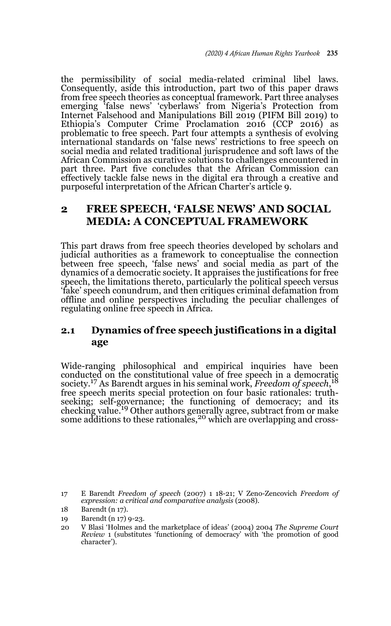the permissibility of social media-related criminal libel laws. Consequently, aside this introduction, part two of this paper draws from free speech theories as conceptual framework. Part three analyses emerging 'false news' 'cyberlaws' from Nigeria's Protection from Internet Falsehood and Manipulations Bill 2019 (PIFM Bill 2019) to Ethiopia's Computer Crime Proclamation 2016 (CCP 2016) as problematic to free speech. Part four attempts a synthesis of evolving international standards on 'false news' restrictions to free speech on social media and related traditional jurisprudence and soft laws of the African Commission as curative solutions to challenges encountered in part three. Part five concludes that the African Commission can effectively tackle false news in the digital era through a creative and purposeful interpretation of the African Charter's article 9.

## **2 FREE SPEECH, 'FALSE NEWS' AND SOCIAL MEDIA: A CONCEPTUAL FRAMEWORK**

This part draws from free speech theories developed by scholars and judicial authorities as a framework to conceptualise the connection between free speech, 'false news' and social media as part of the dynamics of a democratic society. It appraises the justifications for free speech, the limitations thereto, particularly the political speech versus 'fake' speech conundrum, and then critiques criminal defamation from offline and online perspectives including the peculiar challenges of regulating online free speech in Africa.

## **2.1 Dynamics of free speech justifications in a digital age**

Wide-ranging philosophical and empirical inquiries have been conducted on the constitutional value of free speech in a democratic society.17 As Barendt argues in his seminal work, *Freedom of speech*, 18 free speech merits special protection on four basic rationales: truthseeking; self-governance; the functioning of democracy; and its checking value.<sup>19</sup> Other authors generally agree, subtract from or make some additions to these rationales,<sup>20</sup> which are overlapping and cross-

<sup>17</sup> E Barendt *Freedom of speech* (2007) 1 18-21; V Zeno-Zencovich *Freedom of expression: a critical and comparative analysis* (2008).

<sup>18</sup> Barendt (n 17).

<sup>19</sup> Barendt (n 17) 9-23.

<sup>20</sup> V Blasi 'Holmes and the marketplace of ideas' (2004) 2004 *The Supreme Court Review* 1 (substitutes 'functioning of democracy' with 'the promotion of good character').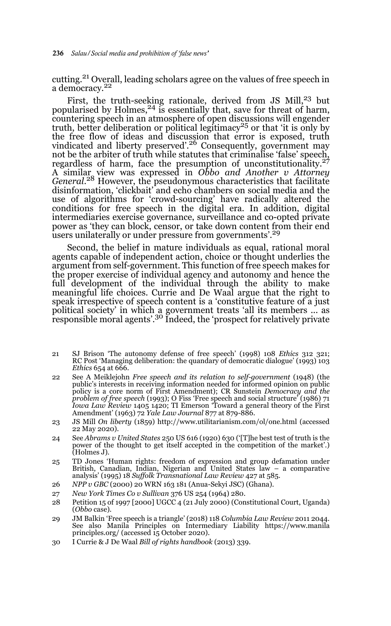cutting.<sup>21</sup> Overall, leading scholars agree on the values of free speech in a democracy.<sup>22</sup>

First, the truth-seeking rationale, derived from JS Mill,<sup>23</sup> but popularised by Holmes,  $^{24}$  is essentially that, save for threat of harm, countering speech in an atmosphere of open discussions will engender<br>truth, better deliberation or political legitimacy<sup>25</sup> or that 'it is only by the free flow of ideas and discussion that error is exposed, truth vindicated and liberty preserved'.26 Consequently, government may not be the arbiter of truth while statutes that criminalise 'false' speech, regardless of harm, face the presumption of unconstitutionality.<sup>27</sup> A similar view was expressed in *Obbo and Another v Attorney General*. 28 However, the pseudonymous characteristics that facilitate disinformation, 'clickbait' and echo chambers on social media and the use of algorithms for 'crowd-sourcing' have radically altered the conditions for free speech in the digital era. In addition, digital intermediaries exercise governance, surveillance and co-opted private power as 'they can block, censor, or take down content from their end users unilaterally or under pressure from governments'.<sup>29</sup>

Second, the belief in mature individuals as equal, rational moral agents capable of independent action, choice or thought underlies the argument from self-government. This function of free speech makes for the proper exercise of individual agency and autonomy and hence the full development of the individual through the ability to make meaningful life choices. Currie and De Waal argue that the right to speak irrespective of speech content is a 'constitutive feature of a just political society' in which a government treats 'all its members ... as responsible moral agents'.30 Indeed, the 'prospect for relatively private

- 21 SJ Brison 'The autonomy defense of free speech' (1998) 108 *Ethics* 312 321; RC Post 'Managing deliberation: the quandary of democratic dialogue' (1993) 103 *Ethics* 654 at 666.
- 22 See A Meiklejohn *Free speech and its relation to self-government* (1948) (the public's interests in receiving information needed for informed opinion on public policy is a core norm of First Amendment); CR Sunstein *Democracy and the problem of free speech* (1993); O Fiss 'Free speech and social structure' (1986) 71 *Iowa Law Review* 1405 1420; TI Emerson 'Toward a general theory of the First Amendment' (1963) 72 *Yale Law Journal* 877 at 879-886.
- 23 JS Mill *On liberty* (1859) http://www.utilitarianism.com/ol/one.html (accessed 22 May 2020).
- 24 See *Abrams v United States* 250 US 616 (1920) 630 ('[T]he best test of truth is the power of the thought to get itself accepted in the competition of the market'.) (Holmes J).
- 25 TD Jones 'Human rights: freedom of expression and group defamation under British, Canadian, Indian, Nigerian and United States law – a comparative analysis' (1995) 18 *Suffolk Transnational Law Review* 427 at 585.
- 26 *NPP v GBC* (2000) 20 WRN 163 181 (Anua-Sekyi JSC) (Ghana).
- 27 *New York Times Co v Sullivan* 376 US 254 (1964) 280.
- 28 Petition 15 of 1997 [2000] UGCC 4 (21 July 2000) (Constitutional Court, Uganda) (*Obbo* case).
- 29 JM Balkin 'Free speech is a triangle' (2018) 118 *Columbia Law Review* 2011 2044. See also Manila Principles on Intermediary Liability https://www.manila principles.org/ (accessed 15 October 2020).
- 30 I Currie & J De Waal *Bill of rights handbook* (2013) 339.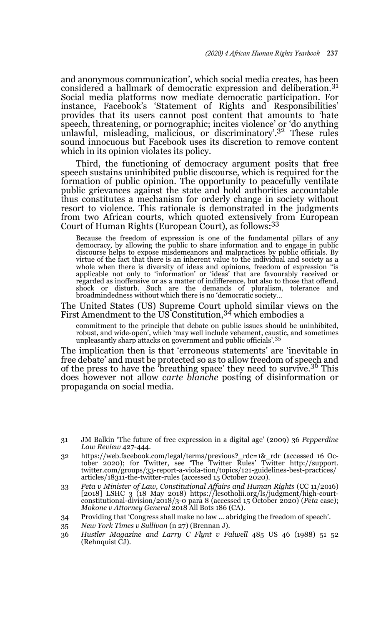and anonymous communication', which social media creates, has been considered a hallmark of democratic expression and deliberation.<sup>31</sup> Social media platforms now mediate democratic participation. For instance, Facebook's 'Statement of Rights and Responsibilities' provides that its users cannot post content that amounts to 'hate speech, threatening, or pornographic; incites violence' or 'do anything unlawful, misleading, malicious, or discriminatory'.32 These rules sound innocuous but Facebook uses its discretion to remove content which in its opinion violates its policy.

Third, the functioning of democracy argument posits that free speech sustains uninhibited public discourse, which is required for the formation of public opinion. The opportunity to peacefully ventilate public grievances against the state and hold authorities accountable thus constitutes a mechanism for orderly change in society without resort to violence. This rationale is demonstrated in the judgments from two African courts, which quoted extensively from European Court of Human Rights (European Court), as follows:<sup>33</sup>

Because the freedom of expression is one of the fundamental pillars of any democracy, by allowing the public to share information and to engage in public discourse helps to expose misdemeanors and malpractices by public officials. By virtue of the fact that there is an inherent value to the individual and society as a whole when there is diversity of ideas and opinions, freedom of expression "is applicable not only to 'information' or 'ideas' that are favourably received or regarded as inoffensive or as a matter of indifference, but also to those that offend, shock or disturb. Such are the demands of pluralism, tolerance and broadmindedness without which there is no 'democratic society…

The United States (US) Supreme Court uphold similar views on the First Amendment to the US Constitution,  $34$  which embodies a

commitment to the principle that debate on public issues should be uninhibited, robust, and wide-open', which 'may well include vehement, caustic, and sometimes unpleasantly sharp attacks on government and public officials'.<sup>35</sup>

The implication then is that 'erroneous statements' are 'inevitable in free debate' and must be protected so as to allow freedom of speech and of the press to have the 'breathing space' they need to survive.<sup>36</sup> This does however not allow *carte blanche* posting of disinformation or propaganda on social media.

- 32 https://web.facebook.com/legal/terms/previous?\_rdc=1&\_rdr (accessed 16 October 2020); for Twitter, see 'The Twitter Rules' Twitter http://support.<br>twitter.com/groups/33-report-a-viola-tion/topics/121-guidelines-best-pra articles/18311-the-twitter-rules (accessed 15 October 2020).
- 33 *Peta v Minister of Law, Constitutional Affairs and Human Rights* (CC 11/2016) [2018] LSHC 3 (18 May 2018) https://lesotholii.org/ls/judgment/high-court-constitutional-division/2018/3-0 para 8 (accessed 15 October 2020) (*Peta* case); *Mokone v Attorney General* 2018 All Bots 186 (CA).
- 34 Providing that 'Congress shall make no law ... abridging the freedom of speech'.
- 35 *New York Times v Sullivan* (n 27) (Brennan J).
- 36 *Hustler Magazine and Larry C Flynt v Falwell* 485 US 46 (1988) 51 52 (Rehnquist CJ).

<sup>31</sup> JM Balkin 'The future of free expression in a digital age' (2009) 36 *Pepperdine Law Review* 427-444.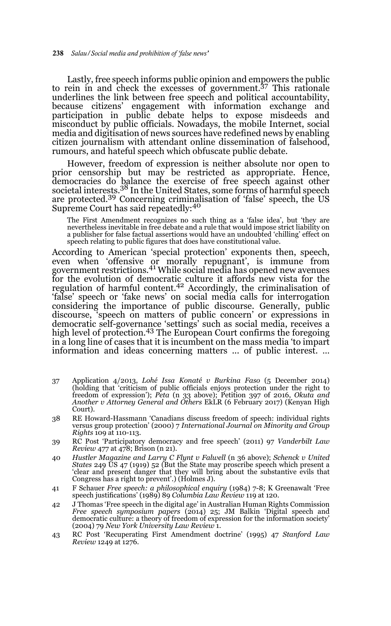Lastly, free speech informs public opinion and empowers the public to rein in and check the excesses of government.37 This rationale underlines the link between free speech and political accountability, because citizens' engagement with information exchange and participation in public debate helps to expose misdeeds and misconduct by public officials. Nowadays, the mobile Internet, social media and digitisation of news sources have redefined news by enabling citizen journalism with attendant online dissemination of falsehood, rumours, and hateful speech which obfuscate public debate.

However, freedom of expression is neither absolute nor open to prior censorship but may be restricted as appropriate. Hence, democracies do balance the exercise of free speech against other societal interests.<sup>38</sup> In the United States, some forms of harmful speech are protected.39 Concerning criminalisation of 'false' speech, the US Supreme Court has said repeatedly:<sup>40</sup>

The First Amendment recognizes no such thing as a 'false idea', but 'they are nevertheless inevitable in free debate and a rule that would impose strict liability on a publisher for false factual assertions would have an undoubted 'chilling' effect on speech relating to public figures that does have constitutional value.

According to American 'special protection' exponents then, speech, even when 'offensive or morally repugnant', is immune from government restrictions.41 While social media has opened new avenues for the evolution of democratic culture it affords new vista for the regulation of harmful content.<sup>42</sup> Accordingly, the criminalisation of 'false' speech or 'fake news' on social media calls for interrogation considering the importance of public discourse. Generally, public discourse, 'speech on matters of public concern' or expressions in democratic self-governance 'settings' such as social media, receives a high level of protection.<sup>43</sup> The European Court confirms the foregoing in a long line of cases that it is incumbent on the mass media 'to impart information and ideas concerning matters ... of public interest. …

- 37 Application 4/2013, *Lohé Issa Konaté v Burkina Faso* (5 December 2014) (holding that 'criticism of public officials enjoys protection under the right to freedom of expression'); *Peta* (n 33 above); Petition 397 of 2016, *Okuta and Another v Attorney General and Others* EkLR (6 February 2017) (Kenyan High Court).
- 38 RE Howard-Hassmann 'Canadians discuss freedom of speech: individual rights versus group protection' (2000) 7 *International Journal on Minority and Group Rights* 109 at 110-113.
- 39 RС Post 'Participatory democracy and free speech' (2011) 97 *Vanderbilt Law Review* 477 at 478; Brison (n 21).
- 40 *Hustler Magazine and Larry C Flynt v Falwell* (n 36 above); *Schenck v United States* 249 US 47 (1919) 52 (But the State may proscribe speech which present a 'clear and present danger that they will bring about the substantive evils that Congress has a right to prevent'.) (Holmes J).
- 41 F Schauer *Free speech: a philosophical enquiry* (1984) 7-8; K Greenawalt 'Free speech justifications' (1989) 89 *Columbia Law Review* 119 at 120.
- 42 J Thomas 'Free speech in the digital age' in Australian Human Rights Commission *Free speech symposium papers* (2014) 25; JM Balkin 'Digital speech and democratic culture: a theory of freedom of expression for the information society' (2004) 79 *New York University Law Review* 1.
- 43 RС Post 'Recuperating First Amendment doctrine' (1995) 47 *Stanford Law Review* 1249 at 1276.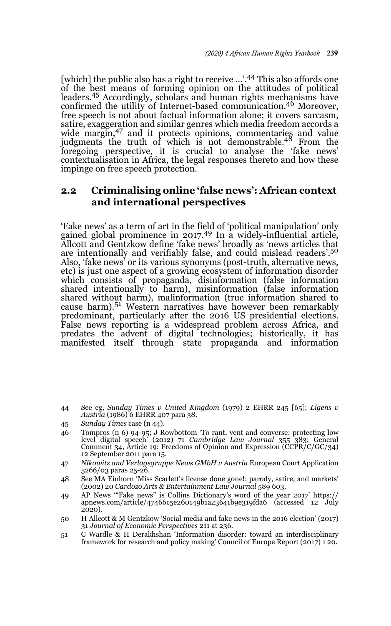[which] the public also has a right to receive ...'.44 This also affords one of the best means of forming opinion on the attitudes of political leaders.45 Accordingly, scholars and human rights mechanisms have confirmed the utility of Internet-based communication.<sup>46</sup> Moreover, free speech is not about factual information alone; it covers sarcasm, satire, exaggeration and similar genres which media freedom accords a wide margin,<sup>47</sup> and it protects opinions, commentaries and value judgments the truth of which is not demonstrable.<sup>48</sup> From the foregoing perspective, it is crucial to analyse the 'fake news' contextualisation in Africa, the legal responses thereto and how these impinge on free speech protection.

## **2.2 Criminalising online 'false news': African context and international perspectives**

'Fake news' as a term of art in the field of 'political manipulation' only gained global prominence in  $2017<sup>49</sup>$  In a widely-influential article, Allcott and Gentzkow define 'fake news' broadly as 'news articles that are intentionally and verifiably false, and could mislead readers'.<sup>50</sup> Also, 'fake news' or its various synonyms (post-truth, alternative news, etc) is just one aspect of a growing ecosystem of information disorder which consists of propaganda, disinformation (false information shared intentionally to harm), misinformation (false information shared without harm), malinformation (true information shared to<br>cause harm).<sup>51</sup> Western narratives have however been remarkably predominant, particularly after the 2016 US presidential elections. False news reporting is a widespread problem across Africa, and predates the advent of digital technologies; historically, it has manifested itself through state propaganda and information

44 See eg, *Sunday Times v United Kingdom* (1979) 2 EHRR 245 [65]; *Ligens v Austria* (1986) 6 EHRR 407 para 38.

- 46 Tompros (n 6) 94-95; J Rowbottom 'To rant, vent and converse: protecting low level digital speech' (2012) 71 *Cambridge Law Journal* 355 383; General Comment 34, Article 19: Freedoms of Opinion and Expression (CCPR/C/GC/34) 12 September 2011 para 15.
- 47 *Nlkowitz and Verlagsgruppe News GMbH v Austria* European Court Application 5266/03 paras 25-26.
- 48 See MA Einhorn 'Miss Scarlett's license done gone!: parody, satire, and markets' (2002) 20 *Cardozo Arts & Entertainment Law Journal* 589 603.
- 49 AP News '"Fake news" is Collins Dictionary's word of the year 2017' https:// apnews.com/article/47466c5e260149b1a23641b9e319fda6 (accessed 12 July 2020).
- 50 H Allcott & M Gentzkow 'Social media and fake news in the 2016 election' (2017) 31 *Journal of Economic Perspectives* 211 at 236.
- 51 C Wardle & H Derakhshan 'Information disorder: toward an interdisciplinary framework for research and policy making' Council of Europe Report (2017) 1 20.

<sup>45</sup> *Sunday Times* case (n 44).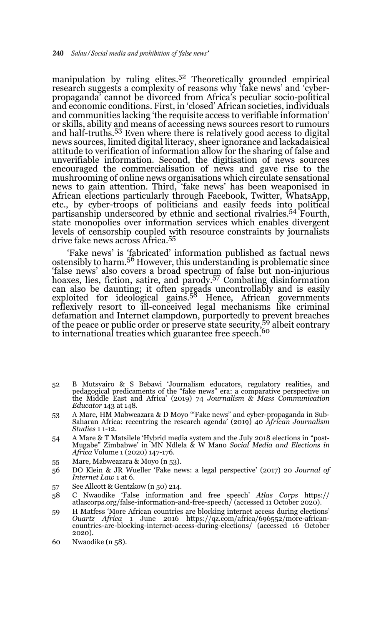manipulation by ruling elites.52 Theoretically grounded empirical research suggests a complexity of reasons why 'fake news' and 'cyberpropaganda' cannot be divorced from Africa's peculiar socio-political and economic conditions. First, in 'closed' African societies, individuals and communities lacking 'the requisite access to verifiable information' or skills, ability and means of accessing news sources resort to rumours and half-truths.<sup>53</sup> Even where there is relatively good access to digital news sources, limited digital literacy, sheer ignorance and lackadaisical attitude to verification of information allow for the sharing of false and unverifiable information. Second, the digitisation of news sources encouraged the commercialisation of news and gave rise to the mushrooming of online news organisations which circulate sensational news to gain attention. Third, 'fake news' has been weaponised in African elections particularly through Facebook, Twitter, WhatsApp, etc., by cyber-troops of politicians and easily feeds into political partisanship underscored by ethnic and sectional rivalries.54 Fourth, state monopolies over information services which enables divergent levels of censorship coupled with resource constraints by journalists drive fake news across Africa.<sup>55</sup>

'Fake news' is 'fabricated' information published as factual news ostensibly to harm.56 However, this understanding is problematic since 'false news' also covers a broad spectrum of false but non-injurious hoaxes, lies, fiction, satire, and parody.57 Combating disinformation can also be daunting; it often spreads uncontrollably and is easily exploited for ideological gains.58 Hence, African governments reflexively resort to ill-conceived legal mechanisms like criminal defamation and Internet clampdown, purportedly to prevent breaches of the peace or public order or preserve state security,59 albeit contrary to international treaties which guarantee free speech.<sup>60</sup>

- 52 B Mutsvairo & S Bebawi 'Journalism educators, regulatory realities, and pedagogical predicaments of the "fake news" era: a comparative perspective on the Middle East and Africa' (2019) 74 *Journalism & Mass Communication Educator* 143 at 148.
- 53 A Mare, HM Mabweazara & D Moyo '"Fake news" and cyber-propaganda in Sub-Saharan Africa: recentring the research agenda' (2019) 40 *African Journalism Studies* 1 1-12.
- 54 A Mare & T Matsilele 'Hybrid media system and the July 2018 elections in "post-Mugabe" Zimbabwe' in MN Ndlela & W Mano *Social Media and Elections in Africa* Volume 1 (2020) 147-176.
- 55 Mare, Mabweazara & Moyo (n 53).
- 56 DO Klein & JR Wueller 'Fake news: a legal perspective' (2017) 20 *Journal of Internet Law* 1 at 6.
- 57 See Allcott & Gentzkow (n 50) 214.
- 58 C Nwaodike 'False information and free speech' *Atlas Corps* https:// atlascorps.org/false-information-and-free-speech/ (accessed 11 October 2020).
- 59 H Matfess 'More African countries are blocking internet access during elections' *Ouartz Africa* 1 June 2016 https://qz.com/africa/696552/more-africancountries-are-blocking-internet-access-during-elections/ (accessed 16 October 2020).
- 60 Nwaodike (n 58).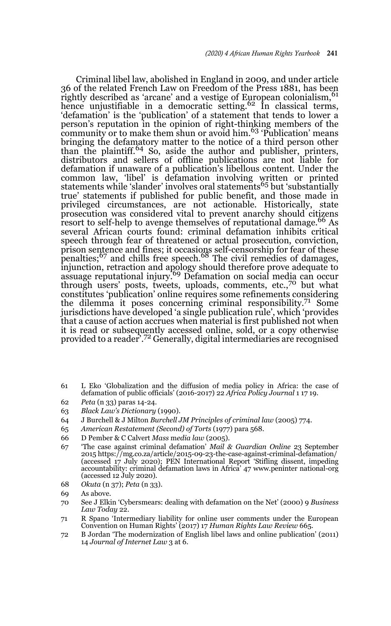Criminal libel law, abolished in England in 2009, and under article 36 of the related French Law on Freedom of the Press 1881, has been rightly described as 'arcane' and a vestige of European colonialism, <sup>61</sup> hence unjustifiable in a democratic setting.<sup>62</sup> In classical terms, 'defamation' is the 'publication' of a statement that tends to lower a person's reputation in the opinion of right-thinking members of the community or to make them shun or avoid him.63 'Publication' means bringing the defamatory matter to the notice of a third person other than the plaintiff.64 So, aside the author and publisher, printers, distributors and sellers of offline publications are not liable for defamation if unaware of a publication's libellous content. Under the common law, 'libel' is defamation involving written or printed statements while 'slander' involves oral statements<sup>65</sup> but 'substantially true' statements if published for public benefit, and those made in privileged circumstances, are not actionable. Historically, state prosecution was considered vital to prevent anarchy should citizens resort to self-help to avenge themselves of reputational damage.<sup>66</sup> As several African courts found: criminal defamation inhibits critical speech through fear of threatened or actual prosecution, conviction, prison sentence and fines; it occasions self-censorship for fear of these<br>penalties;<sup>67</sup> and chills free speech.<sup>68</sup> The civil remedies of damages, injunction, retraction and apology should therefore prove adequate to assuage reputational injury.69 Defamation on social media can occur through users' posts, tweets, uploads, comments, etc.,70 but what constitutes 'publication' online requires some refinements considering the dilemma it poses concerning criminal responsibility.71 Some jurisdictions have developed 'a single publication rule', which 'provides that a cause of action accrues when material is first published not when it is read or subsequently accessed online, sold, or a copy otherwise provided to a reader'.72 Generally, digital intermediaries are recognised

- 61 L Eko 'Globalization and the diffusion of media policy in Africa: the case of defamation of public officials' (2016-2017) 22 *Africa Policy Journal* 1 17 19.
- 62 *Peta* (n 33) paras 14-24.
- 63 *Black Law's Dictionary* (1990).
- 64 J Burchell & J Milton *Burchell JM Principles of criminal law* (2005) 774.
- 65 *American Restatement (Second) of Torts* (1977) para 568.
- 66 D Pember & C Calvert *Mass* m*edia law* (2005).
- 67 'The case against criminal defamation' *Mail & Guardian Online* 23 September 2015 https://mg.co.za/article/2015-09-23-the-case-against-criminal-defamation/ (accessed 17 July 2020); PEN International Report 'Stifling dissent, impeding accountability: criminal defamation laws in Africa' 47 www.peninter national-org (accessed 12 July 2020).
- 68 *Okuta* (n 37); *Peta* (n 33).
- 69 As above.
- 70 See J Elkin 'Cybersmears: dealing with defamation on the Net' (2000) 9 *Business Law Today* 22.
- 71 R Spano 'Intermediary liability for online user comments under the European Convention on Human Rights' (2017) 17 *Human Rights Law Review* 665.
- 72 B Jordan 'The modernization of English libel laws and online publication' (2011) 14 *Journal of Internet Law* 3 at 6.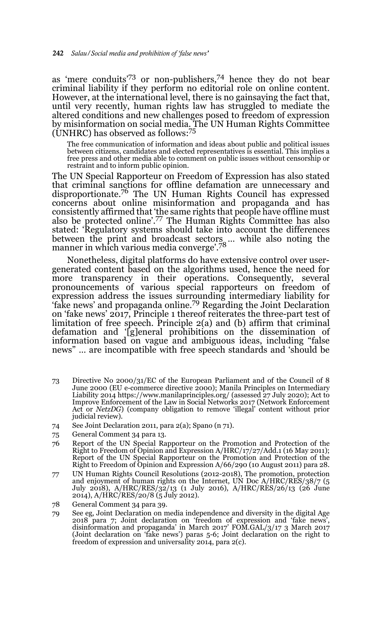as 'mere conduits'73 or non-publishers,74 hence they do not bear criminal liability if they perform no editorial role on online content. However, at the international level, there is no gainsaying the fact that, until very recently, human rights law has struggled to mediate the altered conditions and new challenges posed to freedom of expression by misinformation on social media. The UN Human Rights Committee (UNHRC) has observed as follows:75

The free communication of information and ideas about public and political issues between citizens, candidates and elected representatives is essential. This implies a free press and other media able to comment on public issues without censorship or restraint and to inform public opinion.

The UN Special Rapporteur on Freedom of Expression has also stated that criminal sanctions for offline defamation are unnecessary and disproportionate.76 The UN Human Rights Council has expressed concerns about online misinformation and propaganda and has consistently affirmed that 'the same rights that people have offline must also be protected online'.77 The Human Rights Committee has also stated: 'Regulatory systems should take into account the differences between the print and broadcast sectors … while also noting the manner in which various media converge'.<sup>78</sup>

Nonetheless, digital platforms do have extensive control over usergenerated content based on the algorithms used, hence the need for more transparency in their operations. Consequently, several pronouncements of various special rapporteurs on freedom of expression address the issues surrounding intermediary liability for 'fake news' and propaganda online.79 Regarding the Joint Declaration on 'fake news' 2017, Principle 1 thereof reiterates the three-part test of limitation of free speech. Principle 2(a) and (b) affirm that criminal defamation and '[g]eneral prohibitions on the dissemination of information based on vague and ambiguous ideas, including "false news" … are incompatible with free speech standards and 'should be

- 73 Directive No 2000/31/EC of the European Parliament and of the Council of 8 June 2000 (EU e-commerce directive 2000); Manila Principles on Intermediary Liability 2014 https://www.manilaprinciples.org/ (assessed 27 July 2020); Act to Improve Enforcement of the Law in Social Networks 2017 (Network Enforcement Act or *NetzDG*) (company obligation to remove 'illegal' content without prior judicial review).
- 74 See Joint Declaration 2011, para 2(a); Spano (n 71).
- 75 General Comment 34 para 13.
- 76 Report of the UN Special Rapporteur on the Promotion and Protection of the Right to Freedom of Opinion and Expression A/HRC/17/27/Add.1 (16 May 2011); Report of the UN Special Rapporteur on the Promotion and Protection of the Right to Freedom of Opinion and Expression A/66/290 (10 August 2011) para 28.
- 77 UN Human Rights Council Resolutions (2012-2018), The promotion, protection and enjoyment of human rights on the Internet, UN Doc A/HRC/RES/38/7 (5 July 2018), A/HRC/RES/32/13 (1 July 2016), A/HRC/RES/26/13 (26 June 2014), A/HRC/RES/20/8 (5 July 2012).
- 78 General Comment 34 para 39.
- 79 See eg, Joint Declaration on media independence and diversity in the digital Age 2018 para 7; Joint declaration on 'freedom of expression and 'fake news', disinformation and propaganda' in March 2017' FOM.GAL/3/17 3 March 2017 (Joint declaration on 'fake news') paras 5-6; Joint declaration on the right to freedom of expression and universality 2014, para 2(c).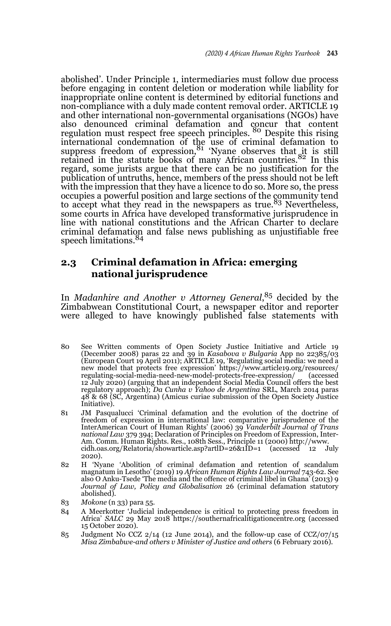abolished'. Under Principle 1, intermediaries must follow due process before engaging in content deletion or moderation while liability for inappropriate online content is determined by editorial functions and non-compliance with a duly made content removal order. ARTICLE 19 and other international non-governmental organisations (NGOs) have also denounced criminal defamation and concur that content regulation must respect free speech principles. 80 Despite this rising international condemnation of the use of criminal defamation to suppress freedom of expression,<sup>81</sup> 'Nyane observes that it is still retained in the statute books of many African countries. $82 \text{ In this}$ regard, some jurists argue that there can be no justification for the publication of untruths, hence, members of the press should not be left with the impression that they have a licence to do so. More so, the press occupies a powerful position and large sections of the community tend<br>to accept what they read in the newspapers as true.<sup>83</sup> Nevertheless, some courts in Africa have developed transformative jurisprudence in line with national constitutions and the African Charter to declare criminal defamation and false news publishing as unjustifiable free speech limitations.<sup>84</sup>

## **2.3 Criminal defamation in Africa: emerging national jurisprudence**

In *Madanhire and Another v Attorney General*, 85 decided by the Zimbabwean Constitutional Court, a newspaper editor and reporter were alleged to have knowingly published false statements with

- 80 See Written comments of Open Society Justice Initiative and Article 19 (December 2008) paras 22 and 39 in *Kasabova v Bulgaria* App no 22385/03 (European Court 19 April 2011); ARTICLE 19, 'Regulating social media: we need a new model that protects free expression' https://www.article19.org/resources/ regulating-social-media-need-new-model-protects-free-expression/ 12 July 2020) (arguing that an independent Social Media Council offers the best regulatory approach); *Da Cunha v Yahoo de Argentina* SRL, March 2014 paras 48 & 68 (SC, Argentina) (Amicus curiae submission of the Open Society Justice Initiative).
- 81 JM Pasqualucci 'Criminal defamation and the evolution of the doctrine of freedom of expression in international law: comparative jurisprudence of the InterAmerican Court of Human Rights' (2006) 39 *Vanderbilt Journal of Trans national Law* 379 394; Declaration of Principles on Freedom of Expression, Inter-Am. Comm. Human Rights. Res., 108th Sess., Principle 11 (2000) http://www. cidh.oas.org/Relatoria/showarticle.asp?artlD=26&1ID=1 (accessed 2020).
- 82 H 'Nyane 'Abolition of criminal defamation and retention of scandalum magnatum in Lesotho' (2019) 19 *African Human Rights Law Journal* 743-62. See also O Anku-Tsede 'The media and the offence of criminal libel in Ghana' (2013) 9 *Journal of Law, Policy and Globalisation* 26 (criminal defamation statutory abolished).
- 83 *Mokone* (n 33) para 55.
- 84 A Meerkotter 'Judicial independence is critical to protecting press freedom in Africa' SALC 29 May 2018 https://southernafricalitigationcentre.org (accessed 15 October 2020).
- 85 Judgment No CCZ  $2/14$  (12 June 2014), and the follow-up case of CCZ/07/15 *Misa Zimbabwe-and others v Minister of Justice and others* (6 February 2016).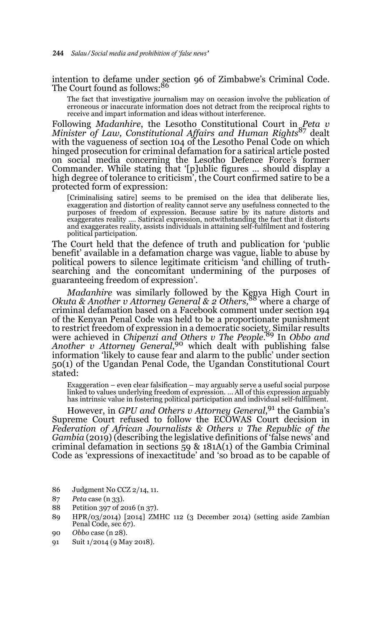intention to defame under section 96 of Zimbabwe's Criminal Code.<br>The Court found as follows:<sup>86</sup>

The fact that investigative journalism may on occasion involve the publication of erroneous or inaccurate information does not detract from the reciprocal rights to receive and impart information and ideas without interference.

Following *Madanhire*, the Lesotho Constitutional Court in *Peta v Minister of Law, Constitutional Affairs and Human Rights*87 dealt with the vagueness of section 104 of the Lesotho Penal Code on which hinged prosecution for criminal defamation for a satirical article posted on social media concerning the Lesotho Defence Force's former Commander. While stating that '[p]ublic figures … should display a high degree of tolerance to criticism', the Court confirmed satire to be a protected form of expression:

[Criminalising satire] seems to be premised on the idea that deliberate lies, exaggeration and distortion of reality cannot serve any usefulness connected to the purposes of freedom of expression. Because satire by its nature distorts and exaggerates reality …. Satirical expression, notwithstanding the fact that it distorts and exaggerates reality, assists individuals in attaining self-fulfilment and fostering political participation.

The Court held that the defence of truth and publication for 'public benefit' available in a defamation charge was vague, liable to abuse by political powers to silence legitimate criticism 'and chilling of truthsearching and the concomitant undermining of the purposes of guaranteeing freedom of expression'.

*Madanhire* was similarly followed by the Kenya High Court in Okuta & Another v Attorney General & 2 Others,<sup>88</sup> where a charge of criminal defamation based on a Facebook comment under section 194 of the Kenyan Penal Code was held to be a proportionate punishment to restrict freedom of expression in a democratic society. Similar results were achieved in *Chipenzi and Others v The People.*89 In *Obbo and Another v Attorney General*, 90 which dealt with publishing false information 'likely to cause fear and alarm to the public' under section 50(1) of the Ugandan Penal Code, the Ugandan Constitutional Court stated:

Exaggeration – even clear falsification – may arguably serve a useful social purpose linked to values underlying freedom of expression. … All of this expression arguably has intrinsic value in fostering political participation and individual self-fulfilment.

However, in *GPU and Others v Attorney General*, 91 the Gambia's Supreme Court refused to follow the ECOWAS Court decision in *Federation of African Journalists & Others v The Republic of the Gambia* (2019) (describing the legislative definitions of 'false news' and criminal defamation in sections 59 & 181A(1) of the Gambia Criminal Code as 'expressions of inexactitude' and 'so broad as to be capable of

- 86 Judgment No CCZ 2/14, 11.
- 87 *Peta* case (n 33).
- 88 Petition 397 of 2016 (n 37).
- 89 HPR/03/2014) [2014] ZMHC 112 (3 December 2014) (setting aside Zambian Penal Code, sec 67).
- 90 *Obbo* case (n 28).
- 91 Suit 1/2014 (9 May 2018).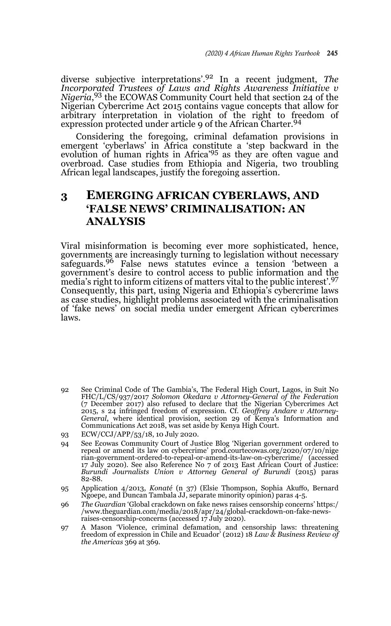diverse subjective interpretations'.92 In a recent judgment, *The Incorporated Trustees of Laws and Rights Awareness Initiative v Nigeria*, 93 the ECOWAS Community Court held that section 24 of the Nigerian Cybercrime Act 2015 contains vague concepts that allow for arbitrary interpretation in violation of the right to freedom of expression protected under article 9 of the African Charter.<sup>94</sup>

Considering the foregoing, criminal defamation provisions in emergent 'cyberlaws' in Africa constitute a 'step backward in the evolution of human rights in Africa'95 as they are often vague and overbroad. Case studies from Ethiopia and Nigeria, two troubling African legal landscapes, justify the foregoing assertion.

# **3 EMERGING AFRICAN CYBERLAWS, AND 'FALSE NEWS' CRIMINALISATION: AN ANALYSIS**

Viral misinformation is becoming ever more sophisticated, hence, governments are increasingly turning to legislation without necessary safeguards.96 False news statutes evince a tension 'between a government's desire to control access to public information and the media's right to inform citizens of matters vital to the public interest'.<sup>97</sup> Consequently, this part, using Nigeria and Ethiopia's cybercrime laws as case studies, highlight problems associated with the criminalisation of 'fake news' on social media under emergent African cybercrimes laws.

- 92 See Criminal Code of The Gambia's, The Federal High Court, Lagos, in Suit No FHC/L/CS/937/2017 *Solomon Okedara v Attorney-General of the Federation* (7 December 2017) also refused to declare that the Nigerian Cybercrimes Act 2015, s 24 infringed freedom of expression. Cf. *Geoffrey Andare v Attorney-General*, where identical provision, section 29 of Kenya's Information and Communications Act 2018, was set aside by Kenya High Court.
- 93 ECW/CCJ/APP/53/18, 10 July 2020.
- 94 See Ecowas Community Court of Justice Blog 'Nigerian government ordered to repeal or amend its law on cybercrime' prod.courtecowas.org/2020/07/10/nige rian-government-ordered-to-repeal-or-amend-its-law-on-cybercrime/ (accessed 17 July 2020). See also Reference No 7 of 2013 East African Court of Justice: *Burundi Journalists Union v Attorney General of Burundi* (2015) paras 82-88.
- 95 Application 4/2013, *Konaté* (n 37) (Elsie Thompson, Sophia Akuffo, Bernard Ngoepe, and Duncan Tambala JJ, separate minority opinion) paras 4-5.
- 96 *The Guardian* 'Global crackdown on fake news raises censorship concerns' https:/ /www.theguardian.com/media/2018/apr/24/global-crackdown-on-fake-newsraises-censorship-concerns (accessed 17 July 2020).
- 97 A Mason 'Violence, criminal defamation, and censorship laws: threatening freedom of expression in Chile and Ecuador' (2012) 18 *Law & Business Review of the Americas* 369 at 369.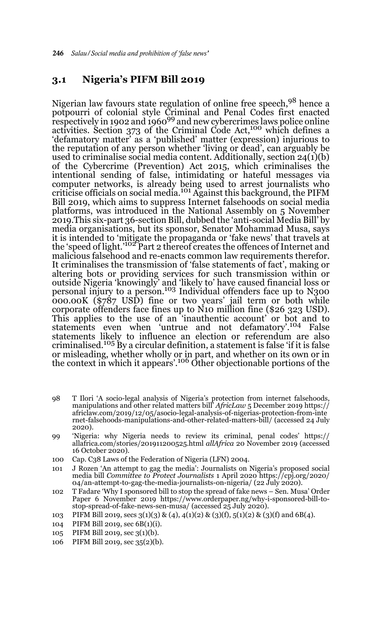#### **3.1 Nigeria's PIFM Bill 2019**

Nigerian law favours state regulation of online free speech, 98 hence a potpourri of colonial style Criminal and Penal Codes first enacted<br>respectively in 1902 and 1960<sup>99</sup> and new cybercrimes laws police online activities. Section 373 of the Criminal Code Act,<sup>100</sup> which defines a 'defamatory matter' as a 'published' matter (expression) injurious to the reputation of any person whether 'living or dead', can arguably be used to criminalise social media content. Additionally, section 24(1)(b) of the Cybercrime (Prevention) Act 2015, which criminalises the intentional sending of false, intimidating or hateful messages via computer networks, is already being used to arrest journalists who criticise officials on social media.101 Against this background, the PIFM Bill 2019, which aims to suppress Internet falsehoods on social media platforms, was introduced in the National Assembly on 5 November 2019.This six-part 36-section Bill, dubbed the 'anti-social Media Bill' by media organisations, but its sponsor, Senator Mohammad Musa, says it is intended to 'mitigate the propaganda or 'fake news' that travels at<br>the 'speed of light.'<sup>102</sup> Part 2 thereof creates the offences of Internet and malicious falsehood and re-enacts common law requirements therefor. It criminalises the transmission of 'false statements of fact', making or altering bots or providing services for such transmission within or outside Nigeria 'knowingly' and 'likely to' have caused financial loss or<br>personal injury to a person.<sup>103</sup> Individual offenders face up to N300 000.00K (\$787 USD) fine or two years' jail term or both while corporate offenders face fines up to N10 million fine (\$26 323 USD). This applies to the use of an 'inauthentic account' or bot and to statements even when 'untrue and not defamatory'.104 False statements likely to influence an election or referendum are also criminalised.<sup>105</sup> By a circular definition, a statement is false 'if it is false or misleading, whether wholly or in part, and whether on its own or in<br>the context in which it appears'.<sup>106</sup> Other objectionable portions of the

- 98 T Ilori 'A socio-legal analysis of Nigeria's protection from internet falsehoods, manipulations and other related matters bill' *AfricLaw* 5 December 2019 https:// africlaw.com/2019/12/05/asocio-legal-analysis-of-nigerias-protection-from-inte rnet-falsehoods-manipulations-and-other-related-matters-bill/ (accessed 24 July 2020).
- 99 'Nigeria: why Nigeria needs to review its criminal, penal codes' https:// allafrica.com/stories/201911200525.html *allAfrica* 20 November 2019 (accessed 16 October 2020).
- 100 Cap. C38 Laws of the Federation of Nigeria (LFN) 2004.
- 101 J Rozen 'An attempt to gag the media': Journalists on Nigeria's proposed social media bill *Committee to Protect Journalists* 1 April 2020 https://cpj.org/2020/ 04/an-attempt-to-gag-the-media-journalists-on-nigeria/ (22 July 2020).
- 102 T Fadare 'Why I sponsored bill to stop the spread of fake news Sen. Musa' Order Paper 6 November 2019 https://www.orderpaper.ng/why-i-sponsored-bill-tostop-spread-of-fake-news-sen-musa/ (accessed 25 July 2020).
- 103 PIFM Bill 2019, secs  $3(1)(3)$  &  $(4)$ ,  $4(1)(2)$  &  $(3)(f)$ ,  $5(1)(2)$  &  $(3)(f)$  and  $6B(4)$ .
- 104 PIFM Bill 2019, sec 6B(1)(i).
- 105 PIFM Bill 2019, sec 3(1)(b).
- 106 PIFM Bill 2019, sec 35(2)(b).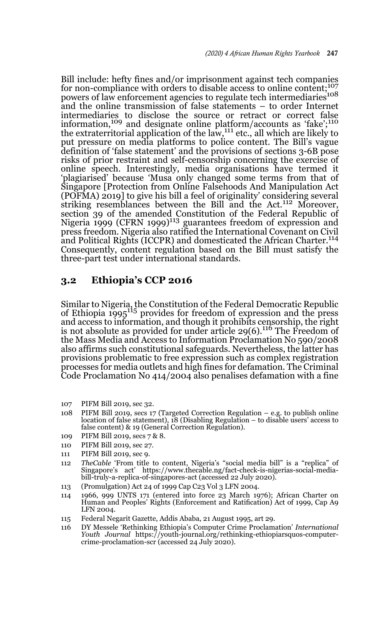Bill include: hefty fines and/or imprisonment against tech companies for non-compliance with orders to disable access to online content;107 powers of law enforcement agencies to regulate tech intermediaries<sup>108</sup> and the online transmission of false statements – to order Internet intermediaries to disclose the source or retract or correct false<br>information,<sup>109</sup> and designate online platform/accounts as 'fake';<sup>110</sup> the extraterritorial application of the law,111 etc., all which are likely to put pressure on media platforms to police content. The Bill's vague definition of 'false statement' and the provisions of sections 3-6B pose risks of prior restraint and self-censorship concerning the exercise of online speech. Interestingly, media organisations have termed it 'plagiarised' because 'Musa only changed some terms from that of Singapore [Protection from Online Falsehoods And Manipulation Act (POFMA) 2019] to give his bill a feel of originality' considering several striking resemblances between the Bill and the Act.<sup>112</sup> Moreover, section 39 of the amended Constitution of the Federal Republic of Nigeria 1999 (CFRN 1999)<sup>113</sup> guarantees freedom of expression and press freedom. Nigeria also ratified the International Covenant on Civil and Political Rights (ICCPR) and domesticated the African Charter.<sup>114</sup> Consequently, content regulation based on the Bill must satisfy the three-part test under international standards.

## **3.2 Ethiopia's CCP 2016**

Similar to Nigeria, the Constitution of the Federal Democratic Republic of Ethiopia 1995115 provides for freedom of expression and the press and access to information, and though it prohibits censorship, the right is not absolute as provided for under article  $29(6)$ .<sup>116</sup> The Freedom of the Mass Media and Access to Information Proclamation No 590/2008 also affirms such constitutional safeguards. Nevertheless, the latter has provisions problematic to free expression such as complex registration processes for media outlets and high fines for defamation. The Criminal Code Proclamation No 414/2004 also penalises defamation with a fine

- 107 PIFM Bill 2019, sec 32.
- 108 PIFM Bill 2019, secs 17 (Targeted Correction Regulation e.g. to publish online location of false statement), 18 (Disabling Regulation – to disable users' access to false content) & 19 (General Correction Regulation).
- 109 PIFM Bill 2019, secs 7 & 8.
- 110 PIFM Bill 2019, sec 27.
- 111 PIFM Bill 2019, sec 9.
- 112 *TheCable* 'From title to content, Nigeria's "social media bill" is a "replica" of Singapore's act' https://www.thecable.ng/fact-check-is-nigerias-social-mediabill-truly-a-replica-of-singapores-act (accessed 22 July 2020).
- 113 (Promulgation) Act 24 of 1999 Cap C23 Vol 3 LFN 2004.
- 114 1966, 999 UNTS 171 (entered into force 23 March 1976); African Charter on Human and Peoples' Rights (Enforcement and Ratification) Act of 1999, Cap A9 LFN 2004.
- 115 Federal Negarit Gazette, Addis Ababa, 21 August 1995, art 29.
- 116 DY Messele 'Rethinking Ethiopia's Computer Crime Proclamation' *International Youth Journal* https://youth-journal.org/rethinking-ethiopiarsquos-computercrime-proclamation-scr (accessed 24 July 2020).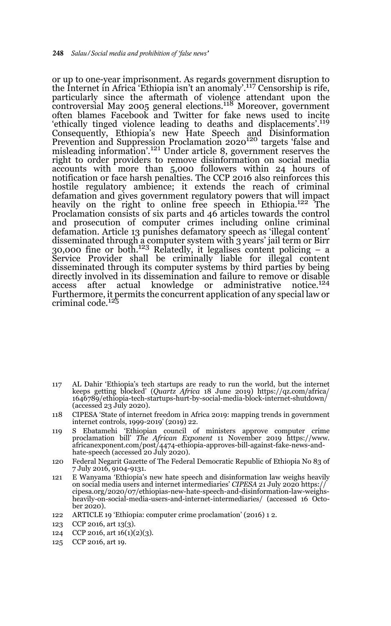or up to one-year imprisonment. As regards government disruption to the Internet in Africa 'Ethiopia isn't an anomaly'.117 Censorship is rife, particularly since the aftermath of violence attendant upon the controversial May 2005 general elections.118 Moreover, government often blames Facebook and Twitter for fake news used to incite 'ethically tinged violence leading to deaths and displacements'.<sup>119</sup> Consequently, Ethiopia's new Hate Speech and Disinformation Prevention and Suppression Proclamation 2020120 targets 'false and misleading information'.<sup>121</sup> Under article 8, government reserves the right to order providers to remove disinformation on social media accounts with more than 5,000 followers within 24 hours of notification or face harsh penalties. The CCP 2016 also reinforces this hostile regulatory ambience; it extends the reach of criminal defamation and gives government regulatory powers that will impact heavily on the right to online free speech in Ethiopia.<sup>122</sup> The Proclamation consists of six parts and 46 articles towards the control and prosecution of computer crimes including online criminal defamation. Article 13 punishes defamatory speech as 'illegal content' disseminated through a computer system with 3 years' jail term or Birr  $30,000$  fine or both.<sup>123</sup> Relatedly, it legalises content policing – a Service Provider shall be criminally liable for illegal content disseminated through its computer systems by third parties by being directly involved in its dissemination and failure to remove or disable<br>access after actual knowledge or administrative notice.<sup>124</sup> access after actual knowledge or administrative. Furthermore, it permits the concurrent application of any special law or criminal code.<sup>125</sup>

- 117 AL Dahir 'Ethiopia's tech startups are ready to run the world, but the internet keeps getting blocked' (*Quartz Africa* 18 June 2019) https://qz.com/africa/ 1646789/ethiopia-tech-startups-hurt-by-social-media-block-internet-shutdown/ (accessed 23 July 2020).
- 118 CIPESA 'State of internet freedom in Africa 2019: mapping trends in government internet controls, 1999-2019' (2019) 22.
- 119 S Ebatamehi 'Ethiopian council of ministers approve computer crime proclamation bill' *The African Exponent* 11 November 2019 https://www. africanexponent.com/post/4474-ethiopia-approves-bill-against-fake-news-andhate-speech (accessed 20 July 2020).
- 120 Federal Negarit Gazette of The Federal Democratic Republic of Ethiopia No 83 of 7 July 2016, 9104-9131.
- 121 E Wanyama 'Ethiopia's new hate speech and disinformation law weighs heavily on social media users and internet intermediaries' *CIPESA* 21 July 2020 https:// cipesa.org/2020/07/ethiopias-new-hate-speech-and-disinformation-law-weighsheavily-on-social-media-users-and-internet-intermediaries/ (accessed 16 October 2020).
- 122 ARTICLE 19 'Ethiopia: computer crime proclamation' (2016) 1 2.
- 123 CCP 2016, art 13(3).
- 124 CCP 2016, art 16(1)(2)(3).
- 125 CCP 2016, art 19.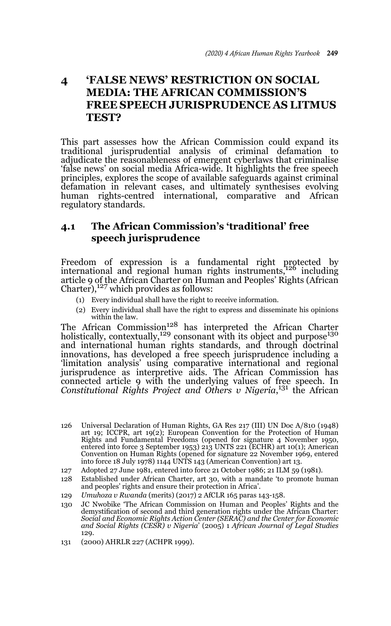## **4 'FALSE NEWS' RESTRICTION ON SOCIAL MEDIA: THE AFRICAN COMMISSION'S FREE SPEECH JURISPRUDENCE AS LITMUS TEST?**

This part assesses how the African Commission could expand its traditional jurisprudential analysis of criminal defamation to adjudicate the reasonableness of emergent cyberlaws that criminalise 'false news' on social media Africa-wide. It highlights the free speech principles, explores the scope of available safeguards against criminal defamation in relevant cases, and ultimately synthesises evolving human rights-centred international, comparative and African regulatory standards.

## **4.1 The African Commission's 'traditional' free speech jurisprudence**

Freedom of expression is a fundamental right protected by<br>international and regional human rights instruments,<sup>126</sup> including article 9 of the African Charter on Human and Peoples' Rights (African  $Charter$ ),<sup>127</sup> which provides as follows:

- (1) Every individual shall have the right to receive information.
- (2) Every individual shall have the right to express and disseminate his opinions within the law.

The African Commission<sup>128</sup> has interpreted the African Charter holistically, contextually,<sup>129</sup> consonant with its object and purpose<sup>130</sup> and international human rights standards, and through doctrinal innovations, has developed a free speech jurisprudence including a 'limitation analysis' using comparative international and regional jurisprudence as interpretive aids. The African Commission has connected article 9 with the underlying values of free speech. In *Constitutional Rights Project and Others v Nigeria*, 131 the African

- 126 Universal Declaration of Human Rights, GA Res 217 (III) UN Doc A/810 (1948) art 19; ICCPR, art 19(2); European Convention for the Protection of Human Rights and Fundamental Freedoms (opened for signature 4 November 1950, entered into force 3 September 1953) 213 UNTS 221 (ECHR) art 10(1); American Convention on Human Rights (opened for signature 22 November 1969, entered into force 18 July 1978) 1144 UNTS 143 (American Convention) art 13.
- 127 Adopted 27 June 1981, entered into force 21 October 1986; 21 ILM 59 (1981).
- 128 Established under African Charter, art 30, with a mandate 'to promote human and peoples' rights and ensure their protection in Africa'.
- 129 *Umuhoza v Rwanda* (merits) (2017) 2 AfCLR 165 paras 143-158.
- 130 JC Nwobike 'The African Commission on Human and Peoples' Rights and the demystification of second and third generation rights under the African Charter: *Social and Economic Rights Action Center (SERAC) and the Center for Economic and Social Rights (CESR) v Nigeria*' (2005) 1 *African Journal of Legal Studies* 129.
- 131 (2000) AHRLR 227 (ACHPR 1999).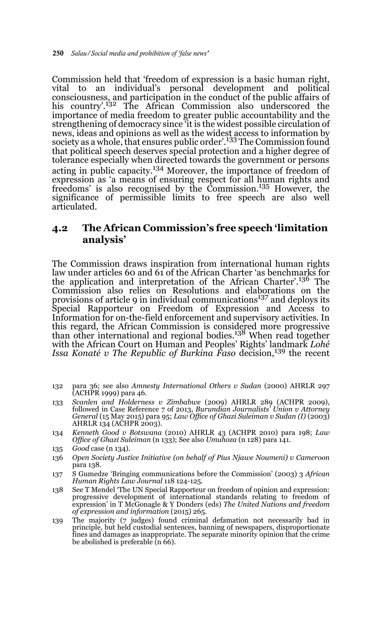Commission held that 'freedom of expression is a basic human right, vital to an individual's personal development and political consciousness, and participation in the conduct of the public affairs of his country'.132 The African Commission also underscored the importance of media freedom to greater public accountability and the strengthening of democracy since 'it is the widest possible circulation of news, ideas and opinions as well as the widest access to information by society as a whole, that ensures public order'.<sup>133</sup> The Commission found that political speech deserves special protection and a higher degree of tolerance especially when directed towards the government or persons acting in public capacity.134 Moreover, the importance of freedom of expression as 'a means of ensuring respect for all human rights and freedoms' is also recognised by the Commission.135 However, the significance of permissible limits to free speech are also well articulated.

## **4.2 The African Commission's free speech 'limitation analysis'**

The Commission draws inspiration from international human rights law under articles 60 and 61 of the African Charter 'as benchmarks for the application and interpretation of the African Charter'.136 The Commission also relies on Resolutions and elaborations on the provisions of article 9 in individual communications<sup>137</sup> and deploys its Special Rapporteur on Freedom of Expression and Access to Information for on-the-field enforcement and supervisory activities. In this regard, the African Commission is considered more progressive<br>than other international and regional bodies.<sup>138</sup> When read together with the African Court on Human and Peoples' Rights' landmark *Lohé Issa Konaté v The Republic of Burkina Faso decision*,<sup>139</sup> the recent

- 132 para 36; see also *Amnesty International Others v Sudan* (2000) AHRLR 297 (ACHPR 1999) para 46.
- 133 *Scanlen and Holderness v Zimbabwe* (2009) AHRLR 289 (ACHPR 2009), followed in Case Reference 7 of 2013, *Burundian Journalists' Union v Attorney General* (15 May 2015) para 95; *Law Office of Ghazi Suleiman v Sudan (I)* (2003) AHRLR 134 (ACHPR 2003).
- 134 *Kenneth Good v Botswana* (2010) AHRLR 43 (ACHPR 2010) para 198; *Law Office of Ghazi Suleiman* (n 133); See also *Umuhoza* (n 128) para 141.

- 136 *Open Society Justice Initiative (on behalf of Pius Njawe Noumeni) v Cameroon* para 138.
- 137 S Gumedze 'Bringing communications before the Commission' (2003) 3 *African Human Rights Law Journal* 118 124-125.
- 138 See T Mendel 'The UN Special Rapporteur on freedom of opinion and expression: progressive development of international standards relating to freedom of expression' in T McGonagle & Y Donders (eds) *The United Nations and freedom of expression and information* (2015) 265.
- 139 The majority (7 judges) found criminal defamation not necessarily bad in principle, but held custodial sentences, banning of newspapers, disproportionate fines and damages as inappropriate. The separate minority opinion that the crime be abolished is preferable (n 66).

<sup>135</sup> *Good* case (n 134).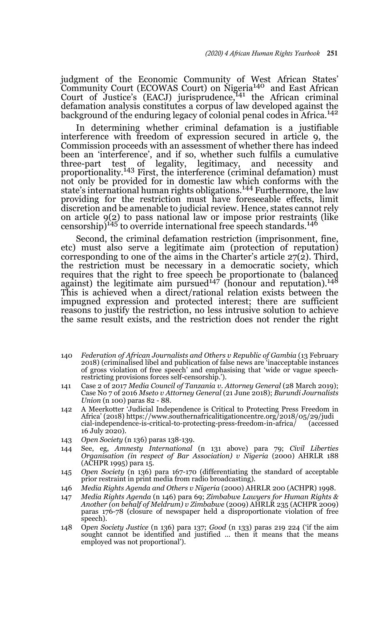judgment of the Economic Community of West African States' Community Court (ECOWAS Court) on Nigeria140 and East African Court of Justice's (EACJ) jurisprudence,<sup>141</sup> the African criminal defamation analysis constitutes a corpus of law developed against the background of the enduring legacy of colonial penal codes in Africa.<sup>142</sup>

In determining whether criminal defamation is a justifiable interference with freedom of expression secured in article 9, the Commission proceeds with an assessment of whether there has indeed been an 'interference', and if so, whether such fulfils a cumulative three-part test of legality, legitimacy, and necessity and three-part test of legality, legitimacy, and necessity and proportionality.<sup>143</sup> First, the interference (criminal defamation) must not only be provided for in domestic law which conforms with the state's international human rights obligations.<sup>144</sup> Furthermore, the law providing for the restriction must have foreseeable effects, limit discretion and be amenable to judicial review. Hence, states cannot rely on article 9(2) to pass national law or impose prior restraints (like censorship)<sup>145</sup> to override international free speech standards.<sup>146</sup>

Second, the criminal defamation restriction (imprisonment, fine, etc) must also serve a legitimate aim (protection of reputation) corresponding to one of the aims in the Charter's article  $27(2)$ . Third, the restriction must be necessary in a democratic society, which requires that the right to free speech be proportionate to (balanced<br>against) the legitimate aim pursued<sup>147</sup> (honour and reputation).<sup>148</sup> This is achieved when a direct/rational relation exists between the impugned expression and protected interest; there are sufficient reasons to justify the restriction, no less intrusive solution to achieve the same result exists, and the restriction does not render the right

- 140 *Federation of African Journalists and Others v Republic of Gambia* (13 February 2018) (criminalised libel and publication of false news are 'inacceptable instances of gross violation of free speech' and emphasising that 'wide or vague speechrestricting provisions forces self-censorship.').
- 141 Case 2 of 2017 *Media Council of Tanzania v. Attorney General* (28 March 2019); Case No 7 of 2016 *Mseto v Attorney General* (21 June 2018); *Burundi Journalists Union* (n 100) paras 82 - 88.
- 142 A Meerkotter 'Judicial Independence is Critical to Protecting Press Freedom in Africa' (2018) https://www.southernafricalitigationcentre.org/2018/05/29/judi  $cial$ -independence-is-critical-to-protecting-press-freedom-in-africa/ 16 July 2020).
- 143 *Open Society* (n 136) paras 138-139.
- 144 See, eg, *Amnesty International* (n 131 above) para 79; *Civil Liberties Organisation (in respect of Bar Association) v Nigeria* (2000) AHRLR 188 (ACHPR 1995) para 15.
- 145 *Open Society* (n 136) para 167-170 (differentiating the standard of acceptable prior restraint in print media from radio broadcasting).
- 146 *Media Rights Agenda and Others v Nigeria* (2000) AHRLR 200 (ACHPR) 1998.
- 147 *Media Rights Agenda* (n 146) para 69; *Zimbabwe Lawyers for Human Rights & Another (on behalf of Meldrum) v Zimbabwe* (2009) AHRLR 235 (ACHPR 2009) paras 176-78 (closure of newspaper held a disproportionate violation of free speech).
- 148 O*pen Society Justice* (n 136) para 137; *Good* (n 133) paras 219 224 ('if the aim sought cannot be identified and justified … then it means that the means employed was not proportional').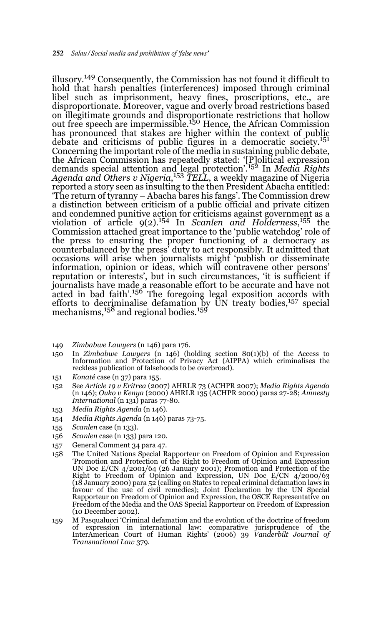illusory.149 Consequently, the Commission has not found it difficult to hold that harsh penalties (interferences) imposed through criminal libel such as imprisonment, heavy fines, proscriptions, etc., are disproportionate. Moreover, vague and overly broad restrictions based on illegitimate grounds and disproportionate restrictions that hollow<br>out free speech are impermissible.<sup>150</sup> Hence, the African Commission has pronounced that stakes are higher within the context of public debate and criticisms of public figures in a democratic society.151 Concerning the important role of the media in sustaining public debate, the African Commission has repeatedly stated: '[P]olitical expression demands special attention and legal protection'.152 In *Media Rights Agenda and Others v Nigeria*, <sup>153</sup> *TELL*, a weekly magazine of Nigeria reported a story seen as insulting to the then President Abacha entitled: 'The return of tyranny – Abacha bares his fangs'. The Commission drew a distinction between criticism of a public official and private citizen and condemned punitive action for criticisms against government as a violation of article 9(2).154 In *Scanlen and Holderness*, 155 the Commission attached great importance to the 'public watchdog' role of the press to ensuring the proper functioning of a democracy as counterbalanced by the press' duty to act responsibly. It admitted that occasions will arise when journalists might 'publish or disseminate information, opinion or ideas, which will contravene other persons' reputation or interests', but in such circumstances, 'it is sufficient if journalists have made a reasonable effort to be accurate and have not acted in bad faith'.<sup>156</sup> The foregoing legal exposition accords with efforts to decriminalise defamation by UN treaty bodies,<sup>157</sup> special mechanisms,  $^{158}$  and regional bodies. $^{159}$ 

- 149 *Zimbabwe Lawyers* (n 146) para 176.
- 150 In *Zimbabwe Lawyers* (n 146) (holding section 80(1)(b) of the Access to Information and Protection of Privacy Act (AIPPA) which criminalises the reckless publication of falsehoods to be overbroad).
- 151 *Konaté* case (n 37) para 155.
- 152 See *Article 19 v Eritrea* (2007) AHRLR 73 (ACHPR 2007); *Media Rights Agenda* (n 146); *Ouko v Kenya* (2000) AHRLR 135 (ACHPR 2000) paras 27-28; *Amnesty International* (n 131) paras 77-80.
- 153 *Media Rights Agenda* (n 146).
- 154 *Media Rights Agenda* (n 146) paras 73-75.
- 155 *Scanlen* case (n 133).
- 156 *Scanlen* case (n 133) para 120.
- 157 General Comment 34 para 47.
- 158 The United Nations Special Rapporteur on Freedom of Opinion and Expression 'Promotion and Protection of the Right to Freedom of Opinion and Expression UN Doc E/CN 4/2001/64 (26 January 2001); Promotion and Protection of the Right to Freedom of Opinion and Expression, UN Doc E/CN 4/2000/63 (18 January 2000) para 52 (calling on States to repeal criminal defamation laws in favour of the use of civil remedies); Joint Declaration by the UN Special Rapporteur on Freedom of Opinion and Expression, the OSCE Representative on Freedom of the Media and the OAS Special Rapporteur on Freedom of Expression (10 December 2002).
- 159 M Pasqualucci 'Criminal defamation and the evolution of the doctrine of freedom of expression in international law: comparative jurisprudence of the InterAmerican Court of Human Rights' (2006) 39 *Vanderbilt Journal of Transnational Law* 379.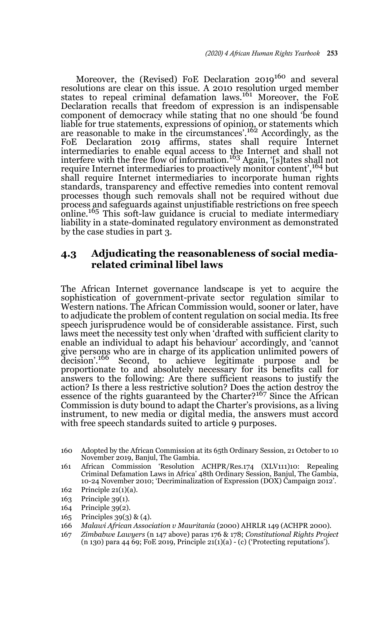Moreover, the (Revised) FoE Declaration 2019<sup>160</sup> and several resolutions are clear on this issue. A 2010 resolution urged member states to repeal criminal defamation laws.<sup>161</sup> Moreover, the FoE Declaration recalls that freedom of expression is an indispensable component of democracy while stating that no one should 'be found liable for true statements, expressions of opinion, or statements which are reasonable to make in the circumstances'.162 Accordingly, as the FoE Declaration 2019 affirms, states shall require Internet intermediaries to enable equal access to the Internet and shall not interfere with the free flow of information.163 Again, '[s]tates shall not require Internet intermediaries to proactively monitor content',164 but shall require Internet intermediaries to incorporate human rights standards, transparency and effective remedies into content removal processes though such removals shall not be required without due process and safeguards against unjustifiable restrictions on free speech online.<sup>165</sup> This soft-law guidance is crucial to mediate intermediary liability in a state-dominated regulatory environment as demonstrated by the case studies in part 3.

### **4.3 Adjudicating the reasonableness of social mediarelated criminal libel laws**

The African Internet governance landscape is yet to acquire the sophistication of government-private sector regulation similar to Western nations. The African Commission would, sooner or later, have to adjudicate the problem of content regulation on social media. Its free speech jurisprudence would be of considerable assistance. First, such laws meet the necessity test only when 'drafted with sufficient clarity to enable an individual to adapt his behaviour' accordingly, and 'cannot give persons who are in charge of its application unlimited powers of decision'.<sup>166</sup> Second, to achieve legitimate purpose and be Second, to achieve legitimate purpose and be proportionate to and absolutely necessary for its benefits call for answers to the following: Are there sufficient reasons to justify the action? Is there a less restrictive solution? Does the action destroy the essence of the rights guaranteed by the Charter?167 Since the African Commission is duty bound to adapt the Charter's provisions, as a living instrument, to new media or digital media, the answers must accord with free speech standards suited to article 9 purposes.

- 160 Adopted by the African Commission at its 65th Ordinary Session, 21 October to 10 November 2019, Banjul, The Gambia.
- 161 African Commission 'Resolution ACHPR/Res.174 (XLV111)10: Repealing Criminal Defamation Laws in Africa' 48th Ordinary Session, Banjul, The Gambia, 10-24 November 2010; 'Decriminalization of Expression (DOX) Campaign 2012'.
- 162 Principle 21(1)(a).
- 163 Principle 39(1).
- 164 Principle 39(2).
- 165 Principles 39(3) & (4).
- 166 *Malawi African Association v Mauritania* (2000) AHRLR 149 (ACHPR 2000).
- 167 *Zimbabwe Lawyers* (n 147 above) paras 176 & 178; *Constitutional Rights Project* (n 130) para 44 69; FoE 2019, Principle 21(1)(a) - (c) ('Protecting reputations').